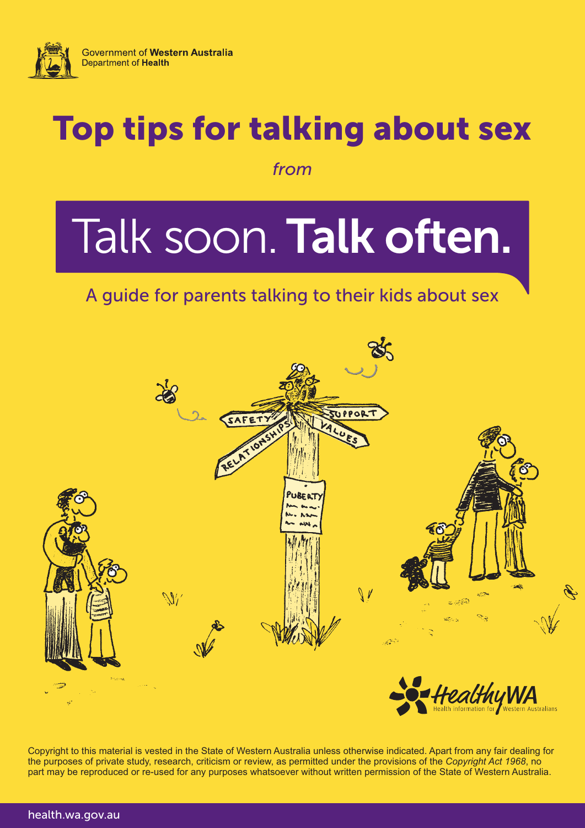

## Top tips for talking about sex

*from*

# Talk soon.Talk often.

### A guide for parents talking to their kids about sex



Copyright to this material is vested in the State of Western Australia unless otherwise indicated. Apart from any fair dealing for the purposes of private study, research, criticism or review, as permitted under the provisions of the *Copyright Act 1968*, no part may be reproduced or re-used for any purposes whatsoever without written permission of the State of Western Australia.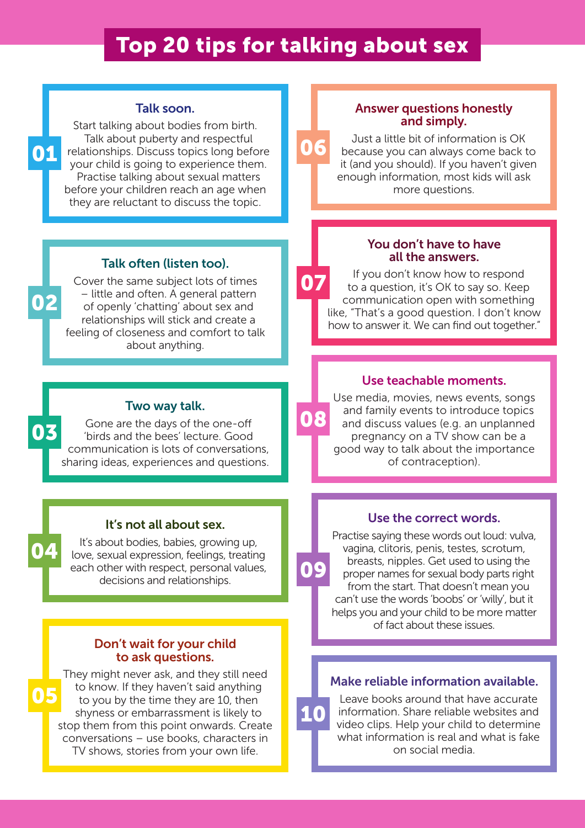## Top 20 tips for talking about sex

06

09

10

#### Talk soon.

Start talking about bodies from birth. Talk about puberty and respectful relationships. Discuss topics long before your child is going to experience them. Practise talking about sexual matters before your children reach an age when they are reluctant to discuss the topic. 01

#### Talk often (listen too).

Cover the same subject lots of times – little and often. A general pattern of openly 'chatting' about sex and relationships will stick and create a feeling of closeness and comfort to talk about anything.

#### Two way talk.

Gone are the days of the one-off 'birds and the bees' lecture. Good communication is lots of conversations, sharing ideas, experiences and questions.

#### It's not all about sex.

It's about bodies, babies, growing up, love, sexual expression, feelings, treating each other with respect, personal values, decisions and relationships.

#### Don't wait for your child to ask questions.

They might never ask, and they still need to know. If they haven't said anything to you by the time they are 10, then shyness or embarrassment is likely to stop them from this point onwards. Create conversations – use books, characters in TV shows, stories from your own life. 05

#### Answer questions honestly and simply.

Just a little bit of information is OK because you can always come back to it (and you should). If you haven't given enough information, most kids will ask more questions.

#### You don't have to have all the answers.

If you don't know how to respond to a question, it's OK to say so. Keep communication open with something like, "That's a good question. I don't know how to answer it. We can find out together." 07

#### Use teachable moments.

Use media, movies, news events, songs and family events to introduce topics and discuss values (e.g. an unplanned pregnancy on a TV show can be a good way to talk about the importance of contraception). 08

#### Use the correct words.

Practise saying these words out loud: vulva, vagina, clitoris, penis, testes, scrotum, breasts, nipples. Get used to using the proper names for sexual body parts right from the start. That doesn't mean you can't use the words 'boobs' or 'willy', but it helps you and your child to be more matter of fact about these issues.

#### Make reliable information available.

Leave books around that have accurate information. Share reliable websites and video clips. Help your child to determine what information is real and what is fake on social media.

02

04

03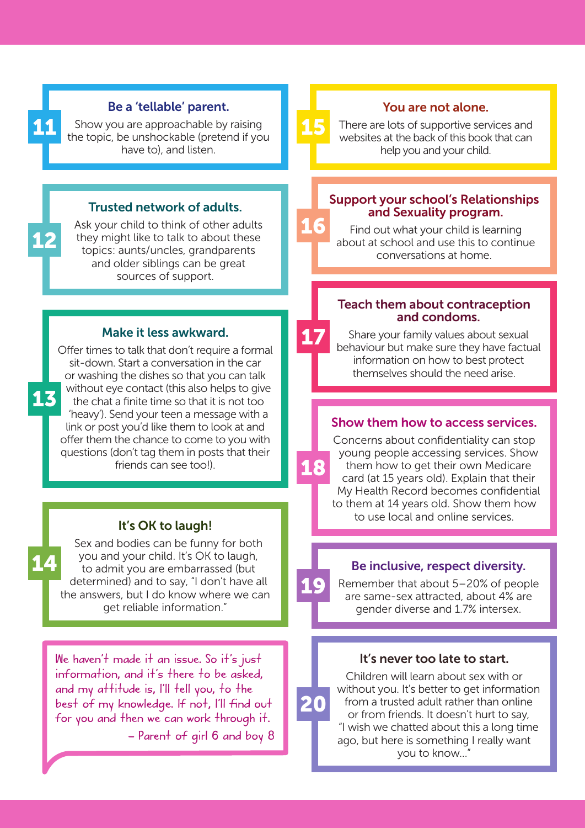#### Be a 'tellable' parent.

Show you are approachable by raising the topic, be unshockable (pretend if you have to), and listen.

#### Trusted network of adults.

Ask your child to think of other adults they might like to talk to about these topics: aunts/uncles, grandparents and older siblings can be great sources of support.

#### Make it less awkward.

Offer times to talk that don't require a formal sit-down. Start a conversation in the car or washing the dishes so that you can talk without eye contact (this also helps to give the chat a finite time so that it is not too 'heavy'). Send your teen a message with a link or post you'd like them to look at and offer them the chance to come to you with questions (don't tag them in posts that their friends can see too!).

#### It's OK to laugh!

Sex and bodies can be funny for both you and your child. It's OK to laugh, to admit you are embarrassed (but determined) and to say, "I don't have all the answers, but I do know where we can get reliable information."

14

11

12

13

We haven't made it an issue. So it's just information, and it's there to be asked, and my attitude is, I'll tell you, to the best of my knowledge. If not, I'll find out for you and then we can work through it. – Parent of girl 6 and boy 8

#### You are not alone.

There are lots of supportive services and websites at the back of this book that can help you and your child.

15

16

17

18

19

20

#### Support your school's Relationships and Sexuality program.

Find out what your child is learning about at school and use this to continue conversations at home.

#### Teach them about contraception and condoms.

Share your family values about sexual behaviour but make sure they have factual information on how to best protect themselves should the need arise.

#### Show them how to access services.

Concerns about confidentiality can stop young people accessing services. Show them how to get their own Medicare card (at 15 years old). Explain that their My Health Record becomes confidential to them at 14 years old. Show them how to use local and online services.

#### Be inclusive, respect diversity.

Remember that about 5–20% of people are same-sex attracted, about 4% are gender diverse and 1.7% intersex.

#### It's never too late to start.

Children will learn about sex with or without you. It's better to get information from a trusted adult rather than online or from friends. It doesn't hurt to say, "I wish we chatted about this a long time ago, but here is something I really want you to know…"